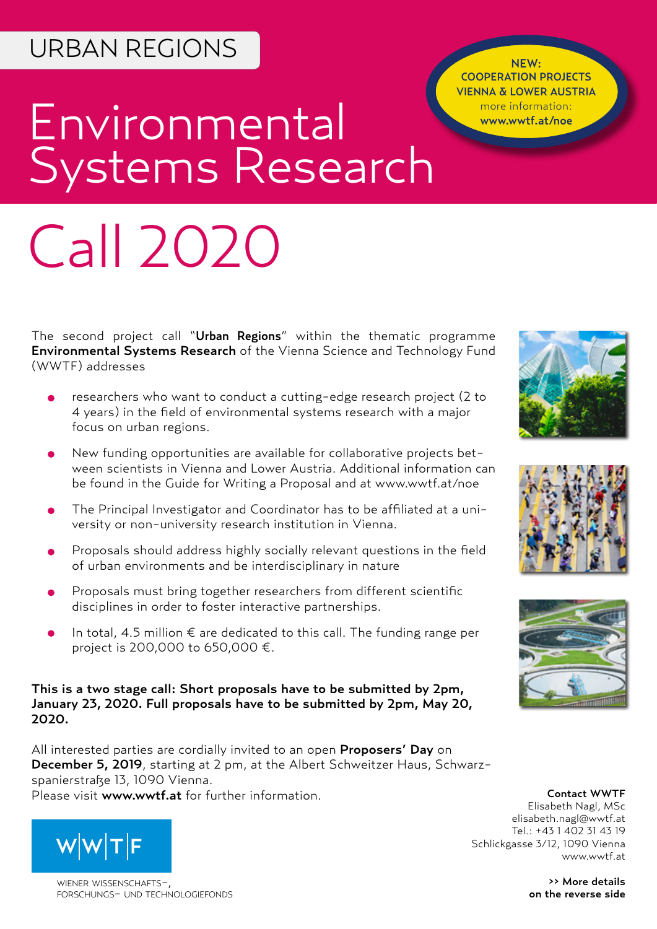## URBAN REGIONS

NEW: COOPERATION PROJECTS VIENNA & LOWER AUSTRIA more information: www.wwtf.at/noe

# Environmental Systems Research

# Call 2020

The second project call "Urban Regions" within the thematic programme Environmental Systems Research of the Vienna Science and Technology Fund (WWTF) addresses

- researchers who want to conduct a cutting-edge research project (2 to 4 years) in the field of environmental systems research with a major focus on urban regions.
- New funding opportunities are available for collaborative projects between scientists in Vienna and Lower Austria. Additional information can be found in the Guide for Writing a Proposal and at www.wwtf.at/noe
- The Principal Investigator and Coordinator has to be affiliated at a university or non-university research institution in Vienna.
- Proposals should address highly socially relevant questions in the field of urban environments and be interdisciplinary in nature
- Proposals must bring together researchers from different scientific disciplines in order to foster interactive partnerships.
- In total, 4.5 million € are dedicated to this call. The funding range per project is 200,000 to 650,000 €.

This is a two stage call: Short proposals have to be submitted by 2pm, January 23, 2020. Full proposals have to be submitted by 2pm, May 20, 2020.

All interested parties are cordially invited to an open Proposers' Day on December 5, 2019, starting at 2 pm, at the Albert Schweitzer Haus, Schwarzspanierstraße 13, 1090 Vienna. Please visit www.wwtf.at for further information. The contact WWTF



WIENER WISSENSCHAFTSforschungs- und technologiefonds





Elisabeth Nagl, MSc elisabeth.nagl[@wwtf.at](mailto:alexander.woehrer%40wwtf.at%20?subject=ICT15%20Call) Tel.: +43 1 402 31 43 19 Schlickgasse 3/12, 1090 Vienna [www.wwtf.at](http://www.wwtf.at)

> >> More details on the reverse side